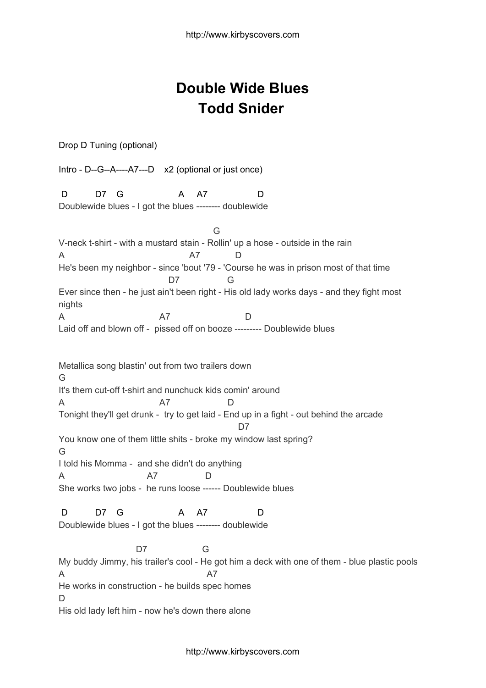## **Double Wide Blues Todd Snider**

Drop D Tuning (optional)

Intro - D--G--A----A7---D x2 (optional or just once)

D D7 G A A7 D Doublewide blues - I got the blues -------- doublewide

G V-neck t-shirt - with a mustard stain - Rollin' up a hose - outside in the rain A A7 D He's been my neighbor - since 'bout '79 - 'Course he was in prison most of that time D7 G Ever since then - he just ain't been right - His old lady works days - and they fight most nights A A7 D Laid off and blown off - pissed off on booze --------- Doublewide blues

Metallica song blastin' out from two trailers down G It's them cut-off t-shirt and nunchuck kids comin' around A A7 D Tonight they'll get drunk - try to get laid - End up in a fight - out behind the arcade D7 You know one of them little shits - broke my window last spring? G I told his Momma - and she didn't do anything A A7 D She works two jobs - he runs loose ------ Doublewide blues D D7 G A A7 D Doublewide blues - I got the blues -------- doublewide

D7 G My buddy Jimmy, his trailer's cool - He got him a deck with one of them - blue plastic pools  $\overline{A}$  and  $\overline{A7}$ He works in construction - he builds spec homes D His old lady left him - now he's down there alone